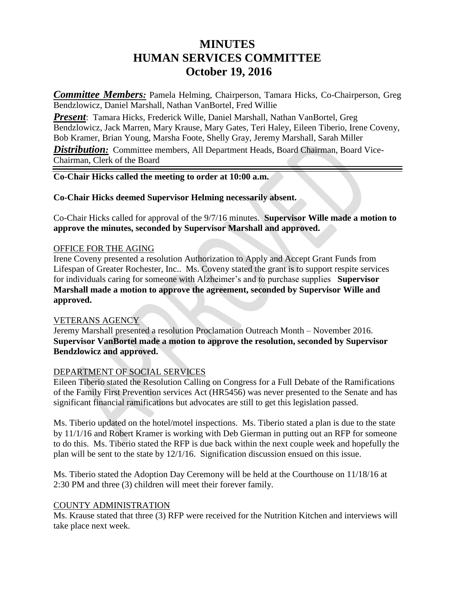# **MINUTES HUMAN SERVICES COMMITTEE October 19, 2016**

*Committee Members:* Pamela Helming, Chairperson, Tamara Hicks, Co-Chairperson, Greg Bendzlowicz, Daniel Marshall, Nathan VanBortel, Fred Willie

*Present*: Tamara Hicks, Frederick Wille, Daniel Marshall, Nathan VanBortel, Greg Bendzlowicz, Jack Marren, Mary Krause, Mary Gates, Teri Haley, Eileen Tiberio, Irene Coveny, Bob Kramer, Brian Young, Marsha Foote, Shelly Gray, Jeremy Marshall, Sarah Miller **Distribution:** Committee members, All Department Heads, Board Chairman, Board Vice-Chairman, Clerk of the Board

## **Co-Chair Hicks called the meeting to order at 10:00 a.m.**

## **Co-Chair Hicks deemed Supervisor Helming necessarily absent.**

Co-Chair Hicks called for approval of the 9/7/16 minutes. **Supervisor Wille made a motion to approve the minutes, seconded by Supervisor Marshall and approved.** 

#### OFFICE FOR THE AGING

Irene Coveny presented a resolution Authorization to Apply and Accept Grant Funds from Lifespan of Greater Rochester, Inc.. Ms. Coveny stated the grant is to support respite services for individuals caring for someone with Alzheimer's and to purchase supplies **Supervisor Marshall made a motion to approve the agreement, seconded by Supervisor Wille and approved.**

#### VETERANS AGENCY

Jeremy Marshall presented a resolution Proclamation Outreach Month – November 2016. **Supervisor VanBortel made a motion to approve the resolution, seconded by Supervisor Bendzlowicz and approved.**

# DEPARTMENT OF SOCIAL SERVICES

Eileen Tiberio stated the Resolution Calling on Congress for a Full Debate of the Ramifications of the Family First Prevention services Act (HR5456) was never presented to the Senate and has significant financial ramifications but advocates are still to get this legislation passed.

Ms. Tiberio updated on the hotel/motel inspections. Ms. Tiberio stated a plan is due to the state by 11/1/16 and Robert Kramer is working with Deb Gierman in putting out an RFP for someone to do this. Ms. Tiberio stated the RFP is due back within the next couple week and hopefully the plan will be sent to the state by 12/1/16. Signification discussion ensued on this issue.

Ms. Tiberio stated the Adoption Day Ceremony will be held at the Courthouse on 11/18/16 at 2:30 PM and three (3) children will meet their forever family.

# COUNTY ADMINISTRATION

Ms. Krause stated that three (3) RFP were received for the Nutrition Kitchen and interviews will take place next week.